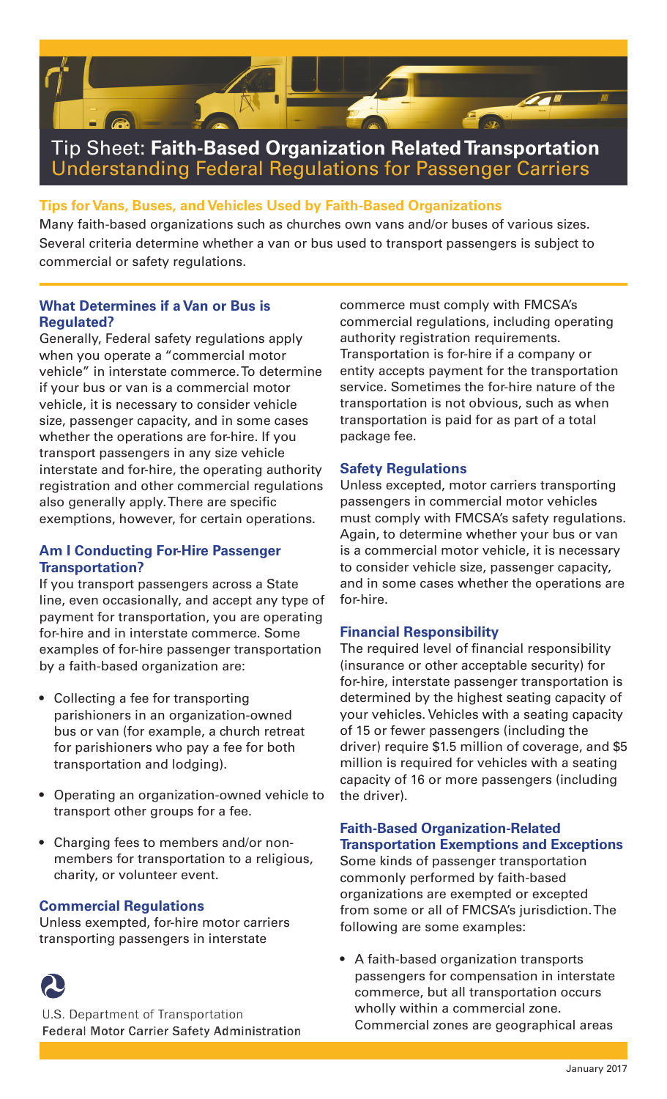

## **Tips for Vans, Buses, and Vehicles Used by Faith-Based Organizations**

Many faith-based organizations such as churches own vans and/or buses of various sizes. Several criteria determine whether a van or bus used to transport passengers is subject to commercial or safety regulations.

## **What Determines if a Van or Bus is Regulated?**

Generally, Federal safety regulations apply when you operate a "commercial motor vehicle" in interstate commerce. To determine if your bus or van is a commercial motor vehicle, it is necessary to consider vehicle size, passenger capacity, and in some cases whether the operations are for-hire. If you transport passengers in any size vehicle interstate and for-hire, the operating authority registration and other commercial regulations also generally apply. There are specific exemptions, however, for certain operations.

## **Am I Conducting For-Hire Passenger Transportation?**

If you transport passengers across a State line, even occasionally, and accept any type of payment for transportation, you are operating for-hire and in interstate commerce. Some examples of for-hire passenger transportation by a faith-based organization are:

- Collecting a fee for transporting parishioners in an organization-owned bus or van (for example, a church retreat for parishioners who pay a fee for both transportation and lodging).
- • Operating an organization-owned vehicle to transport other groups for a fee.
- Charging fees to members and/or nonmembers for transportation to a religious, charity, or volunteer event.

## **Commercial Regulations**

Unless exempted, for-hire motor carriers transporting passengers in interstate



U.S. Department of Transportation **Federal Motor Carrier Safety Administration**  commerce must comply with FMCSA's commercial regulations, including operating authority registration requirements. Transportation is for-hire if a company or entity accepts payment for the transportation service. Sometimes the for-hire nature of the transportation is not obvious, such as when transportation is paid for as part of a total package fee.

#### **Safety Regulations**

Unless excepted, motor carriers transporting passengers in commercial motor vehicles must comply with FMCSA's safety regulations. Again, to determine whether your bus or van is a commercial motor vehicle, it is necessary to consider vehicle size, passenger capacity, and in some cases whether the operations are for-hire.

#### **Financial Responsibility**

The required level of financial responsibility (insurance or other acceptable security) for for-hire, interstate passenger transportation is determined by the highest seating capacity of your vehicles. Vehicles with a seating capacity of 15 or fewer passengers (including the driver) require \$1.5 million of coverage, and \$5 million is required for vehicles with a seating capacity of 16 or more passengers (including the driver).

## **Faith-Based Organization-Related Transportation Exemptions and Exceptions**

Some kinds of passenger transportation commonly performed by faith-based organizations are exempted or excepted from some or all of FMCSA's jurisdiction. The following are some examples:

• A faith-based organization transports passengers for compensation in interstate commerce, but all transportation occurs wholly within a commercial zone. Commercial zones are geographical areas